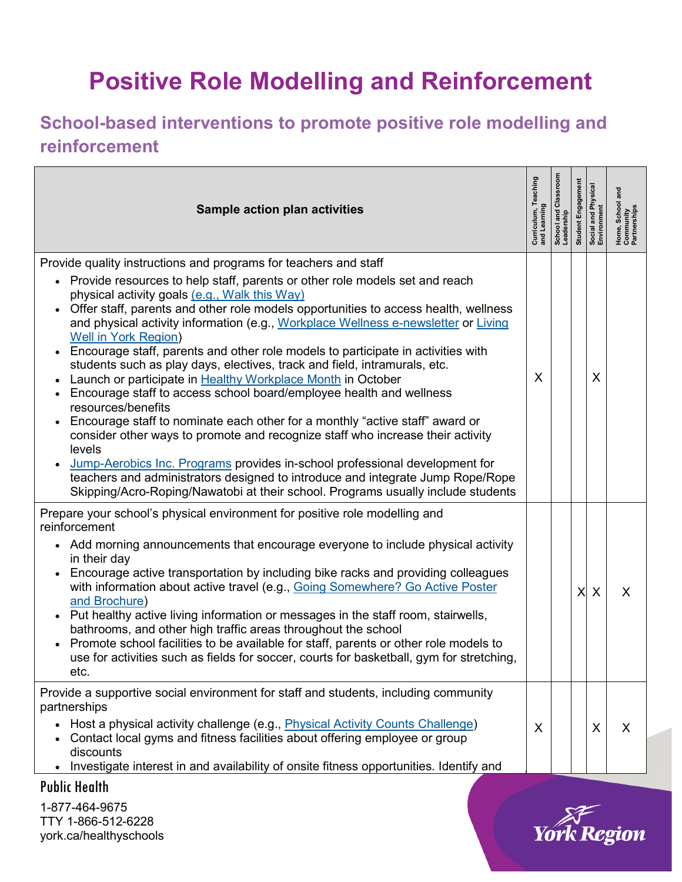## **Positive Role Modelling and Reinforcement**

## **School-based interventions to promote positive role modelling and reinforcement**

| Sample action plan activities                                                                                                                                                                                                                                                                                                                                                                                                                                                                                                                                                                                                                                                                                                                                                                                                                                                                                                                                                                                                                                                                                                                                                                          | Curriculum, Teaching<br>and Learning | School and Classroom<br>Leadership | Engagemen<br>Student I | Social and Physica<br>Environment | School and<br>Home, School<br>Community<br>Partnerships |
|--------------------------------------------------------------------------------------------------------------------------------------------------------------------------------------------------------------------------------------------------------------------------------------------------------------------------------------------------------------------------------------------------------------------------------------------------------------------------------------------------------------------------------------------------------------------------------------------------------------------------------------------------------------------------------------------------------------------------------------------------------------------------------------------------------------------------------------------------------------------------------------------------------------------------------------------------------------------------------------------------------------------------------------------------------------------------------------------------------------------------------------------------------------------------------------------------------|--------------------------------------|------------------------------------|------------------------|-----------------------------------|---------------------------------------------------------|
| Provide quality instructions and programs for teachers and staff<br>• Provide resources to help staff, parents or other role models set and reach<br>physical activity goals (e.g., Walk this Way)<br>Offer staff, parents and other role models opportunities to access health, wellness<br>and physical activity information (e.g., Workplace Wellness e-newsletter or Living<br><b>Well in York Region)</b><br>Encourage staff, parents and other role models to participate in activities with<br>$\bullet$<br>students such as play days, electives, track and field, intramurals, etc.<br>Launch or participate in Healthy Workplace Month in October<br>Encourage staff to access school board/employee health and wellness<br>$\bullet$<br>resources/benefits<br>Encourage staff to nominate each other for a monthly "active staff" award or<br>consider other ways to promote and recognize staff who increase their activity<br>levels<br>Jump-Aerobics Inc. Programs provides in-school professional development for<br>teachers and administrators designed to introduce and integrate Jump Rope/Rope<br>Skipping/Acro-Roping/Nawatobi at their school. Programs usually include students | X                                    |                                    |                        | X                                 |                                                         |
| Prepare your school's physical environment for positive role modelling and<br>reinforcement<br>• Add morning announcements that encourage everyone to include physical activity<br>in their day<br>Encourage active transportation by including bike racks and providing colleagues<br>with information about active travel (e.g., Going Somewhere? Go Active Poster<br>and Brochure)<br>Put healthy active living information or messages in the staff room, stairwells,<br>bathrooms, and other high traffic areas throughout the school<br>Promote school facilities to be available for staff, parents or other role models to<br>use for activities such as fields for soccer, courts for basketball, gym for stretching,<br>etc.                                                                                                                                                                                                                                                                                                                                                                                                                                                                 |                                      |                                    | X                      | X                                 | X                                                       |
| Provide a supportive social environment for staff and students, including community<br>partnerships<br>Host a physical activity challenge (e.g., <i>Physical Activity Counts Challenge)</i><br>Contact local gyms and fitness facilities about offering employee or group<br>discounts<br>Investigate interest in and availability of onsite fitness opportunities. Identify and                                                                                                                                                                                                                                                                                                                                                                                                                                                                                                                                                                                                                                                                                                                                                                                                                       | X                                    |                                    |                        | X                                 | X                                                       |

Public Health

1-877-464-9675 TTY 1-866-512-6228 york.ca/healthyschools